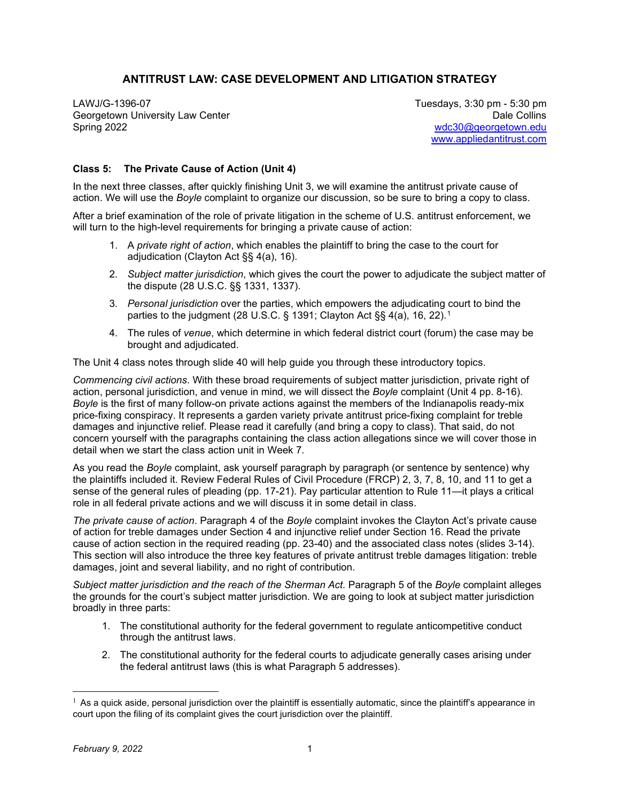## **ANTITRUST LAW: CASE DEVELOPMENT AND LITIGATION STRATEGY**

LAWJ/G-1396-07 Tuesdays, 3:30 pm - 5:30 pm Georgetown University Law Center **Date Collins** Contemporary Contemporary Collins Date Collins Spring 2022 [wdc30@georgetown.edu](mailto:wdc30@georgetown.edu) 

[www.appliedantitrust.com](http://www.appliedantitrust.com/)

## **Class 5: The Private Cause of Action (Unit 4)**

In the next three classes, after quickly finishing Unit 3, we will examine the antitrust private cause of action. We will use the *Boyle* complaint to organize our discussion, so be sure to bring a copy to class.

After a brief examination of the role of private litigation in the scheme of U.S. antitrust enforcement, we will turn to the high-level requirements for bringing a private cause of action:

- 1. A *private right of action*, which enables the plaintiff to bring the case to the court for adjudication (Clayton Act §§ 4(a), 16).
- 2. *Subject matter jurisdiction*, which gives the court the power to adjudicate the subject matter of the dispute (28 U.S.C. §§ 1331, 1337).
- 3. *Personal jurisdiction* over the parties, which empowers the adjudicating court to bind the parties to the judgment (28 U.S.C. § [1](#page-1-0)391; Clayton Act §§ 4(a), 16, 22).<sup>1</sup>
- 4. The rules of *venue*, which determine in which federal district court (forum) the case may be brought and adjudicated.

The Unit 4 class notes through slide 40 will help guide you through these introductory topics.

*Commencing civil actions*. With these broad requirements of subject matter jurisdiction, private right of action, personal jurisdiction, and venue in mind, we will dissect the *Boyle* complaint (Unit 4 pp. 8-16). *Boyle* is the first of many follow-on private actions against the members of the Indianapolis ready-mix price-fixing conspiracy. It represents a garden variety private antitrust price-fixing complaint for treble damages and injunctive relief. Please read it carefully (and bring a copy to class). That said, do not concern yourself with the paragraphs containing the class action allegations since we will cover those in detail when we start the class action unit in Week 7.

As you read the *Boyle* complaint, ask yourself paragraph by paragraph (or sentence by sentence) why the plaintiffs included it. Review Federal Rules of Civil Procedure (FRCP) 2, 3, 7, 8, 10, and 11 to get a sense of the general rules of pleading (pp. 17-21). Pay particular attention to Rule 11—it plays a critical role in all federal private actions and we will discuss it in some detail in class.

*The private cause of action*. Paragraph 4 of the *Boyle* complaint invokes the Clayton Act's private cause of action for treble damages under Section 4 and injunctive relief under Section 16. Read the private cause of action section in the required reading (pp. 23-40) and the associated class notes (slides 3-14). This section will also introduce the three key features of private antitrust treble damages litigation: treble damages, joint and several liability, and no right of contribution.

*Subject matter jurisdiction and the reach of the Sherman Act. Paragraph 5 of the <i>Boyle* complaint alleges the grounds for the court's subject matter jurisdiction. We are going to look at subject matter jurisdiction broadly in three parts:

- 1. The constitutional authority for the federal government to regulate anticompetitive conduct through the antitrust laws.
- 2. The constitutional authority for the federal courts to adjudicate generally cases arising under the federal antitrust laws (this is what Paragraph 5 addresses).

 $1$  As a quick aside, personal jurisdiction over the plaintiff is essentially automatic, since the plaintiff's appearance in court upon the filing of its complaint gives the court jurisdiction over the plaintiff.